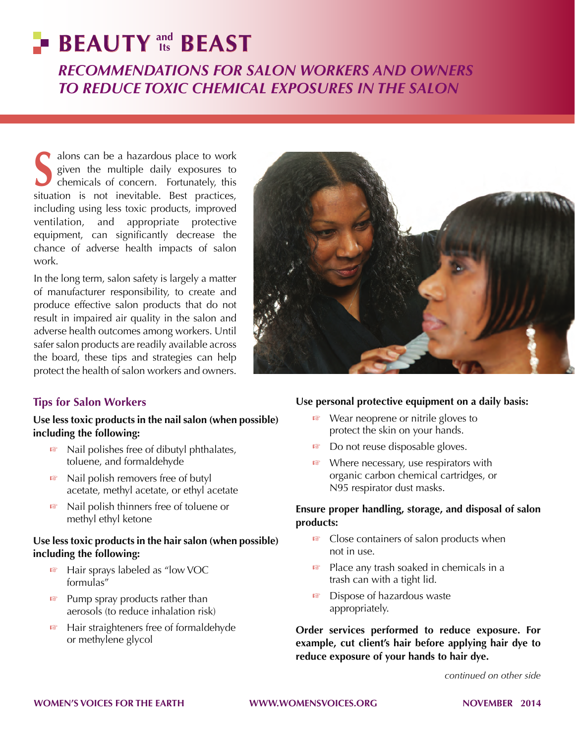# **BEAUTY** and **BEAST** *Recommendations for Salon Workers and Owners to Reduce Toxic Chemical Exposures in the Salon* **Its**

Salons can be a hazardous place to work<br>given the multiple daily exposures to<br>chemicals of concern. Fortunately, this given the multiple daily exposures to chemicals of concern. Fortunately, this situation is not inevitable. Best practices, including using less toxic products, improved ventilation, and appropriate protective equipment, can significantly decrease the chance of adverse health impacts of salon work.

In the long term, salon safety is largely a matter of manufacturer responsibility, to create and produce effective salon products that do not result in impaired air quality in the salon and adverse health outcomes among workers. Until safer salon products are readily available across the board, these tips and strategies can help protect the health of salon workers and owners.



# **Tips for Salon Workers**

#### **Use less toxic products in the nail salon (when possible) including the following:**

- ☞ Nail polishes free of dibutyl phthalates, toluene, and formaldehyde
- ☞ Nail polish removers free of butyl acetate, methyl acetate, or ethyl acetate
- ☞ Nail polish thinners free of toluene or methyl ethyl ketone

## **Use less toxic products in the hair salon (when possible) including the following:**

- ☞ Hair sprays labeled as "low VOC formulas"
- ☞ Pump spray products rather than aerosols (to reduce inhalation risk)
- ☞ Hair straighteners free of formaldehyde or methylene glycol

## **Use personal protective equipment on a daily basis:**

- ☞ Wear neoprene or nitrile gloves to protect the skin on your hands.
- ☞ Do not reuse disposable gloves.
- ☞ Where necessary, use respirators with organic carbon chemical cartridges, or N95 respirator dust masks.

#### **Ensure proper handling, storage, and disposal of salon products:**

- ☞ Close containers of salon products when not in use.
- ☞ Place any trash soaked in chemicals in a trash can with a tight lid.
- ☞ Dispose of hazardous waste appropriately.

**Order services performed to reduce exposure. For example, cut client's hair before applying hair dye to reduce exposure of your hands to hair dye.**

*continued on other side*